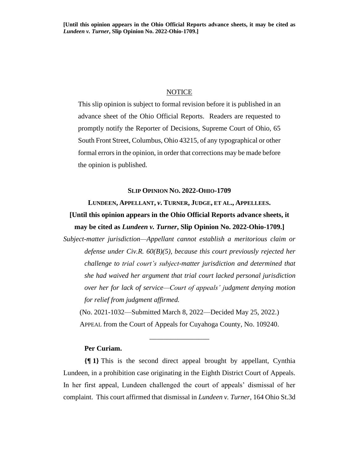## **NOTICE**

This slip opinion is subject to formal revision before it is published in an advance sheet of the Ohio Official Reports. Readers are requested to promptly notify the Reporter of Decisions, Supreme Court of Ohio, 65 South Front Street, Columbus, Ohio 43215, of any typographical or other formal errors in the opinion, in order that corrections may be made before the opinion is published.

#### **SLIP OPINION NO. 2022-OHIO-1709**

# **LUNDEEN, APPELLANT,** *v***. TURNER, JUDGE, ET AL., APPELLEES. [Until this opinion appears in the Ohio Official Reports advance sheets, it may be cited as** *Lundeen v. Turner***, Slip Opinion No. 2022-Ohio-1709.]**

*Subject-matter jurisdiction—Appellant cannot establish a meritorious claim or defense under Civ.R. 60(B)(5), because this court previously rejected her challenge to trial court's subject-matter jurisdiction and determined that she had waived her argument that trial court lacked personal jurisdiction over her for lack of service—Court of appeals' judgment denying motion for relief from judgment affirmed.*

(No. 2021-1032—Submitted March 8, 2022—Decided May 25, 2022.) APPEAL from the Court of Appeals for Cuyahoga County, No. 109240.

\_\_\_\_\_\_\_\_\_\_\_\_\_\_\_\_\_

## **Per Curiam.**

**{¶ 1}** This is the second direct appeal brought by appellant, Cynthia Lundeen, in a prohibition case originating in the Eighth District Court of Appeals. In her first appeal, Lundeen challenged the court of appeals' dismissal of her complaint. This court affirmed that dismissal in *Lundeen v. Turner*, 164 Ohio St.3d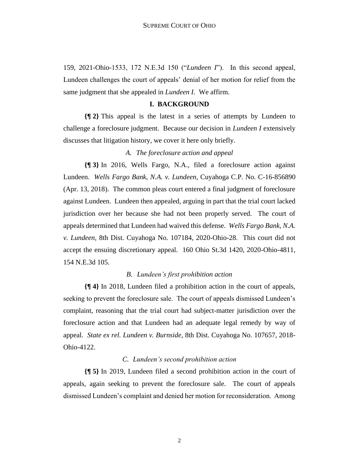159, 2021-Ohio-1533, 172 N.E.3d 150 ("*Lundeen I*"). In this second appeal, Lundeen challenges the court of appeals' denial of her motion for relief from the same judgment that she appealed in *Lundeen I*. We affirm.

#### **I. BACKGROUND**

**{¶ 2}** This appeal is the latest in a series of attempts by Lundeen to challenge a foreclosure judgment. Because our decision in *Lundeen I* extensively discusses that litigation history, we cover it here only briefly.

## *A. The foreclosure action and appeal*

**{¶ 3}** In 2016, Wells Fargo, N.A., filed a foreclosure action against Lundeen. *Wells Fargo Bank, N.A. v. Lundeen*, Cuyahoga C.P. No. C-16-856890 (Apr. 13, 2018). The common pleas court entered a final judgment of foreclosure against Lundeen. Lundeen then appealed, arguing in part that the trial court lacked jurisdiction over her because she had not been properly served. The court of appeals determined that Lundeen had waived this defense. *Wells Fargo Bank, N.A. v. Lundeen*, 8th Dist. Cuyahoga No. 107184, 2020-Ohio-28. This court did not accept the ensuing discretionary appeal. 160 Ohio St.3d 1420, 2020-Ohio-4811, 154 N.E.3d 105.

#### *B. Lundeen's first prohibition action*

**{¶ 4}** In 2018, Lundeen filed a prohibition action in the court of appeals, seeking to prevent the foreclosure sale. The court of appeals dismissed Lundeen's complaint, reasoning that the trial court had subject-matter jurisdiction over the foreclosure action and that Lundeen had an adequate legal remedy by way of appeal. *State ex rel. Lundeen v. Burnside*, 8th Dist. Cuyahoga No. 107657, 2018- Ohio-4122.

## *C. Lundeen's second prohibition action*

**{¶ 5}** In 2019, Lundeen filed a second prohibition action in the court of appeals, again seeking to prevent the foreclosure sale. The court of appeals dismissed Lundeen's complaint and denied her motion for reconsideration. Among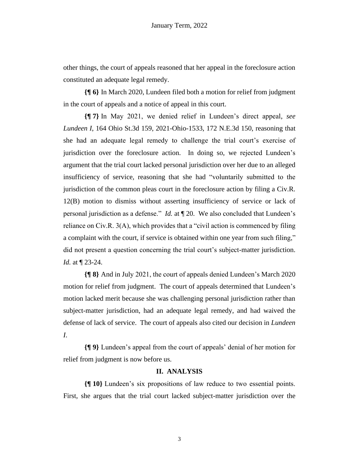other things, the court of appeals reasoned that her appeal in the foreclosure action constituted an adequate legal remedy.

**{¶ 6}** In March 2020, Lundeen filed both a motion for relief from judgment in the court of appeals and a notice of appeal in this court.

**{¶ 7}** In May 2021, we denied relief in Lundeen's direct appeal, *see Lundeen I*, 164 Ohio St.3d 159, 2021-Ohio-1533, 172 N.E.3d 150, reasoning that she had an adequate legal remedy to challenge the trial court's exercise of jurisdiction over the foreclosure action. In doing so, we rejected Lundeen's argument that the trial court lacked personal jurisdiction over her due to an alleged insufficiency of service, reasoning that she had "voluntarily submitted to the jurisdiction of the common pleas court in the foreclosure action by filing a Civ.R. 12(B) motion to dismiss without asserting insufficiency of service or lack of personal jurisdiction as a defense." *Id.* at ¶ 20. We also concluded that Lundeen's reliance on Civ.R. 3(A), which provides that a "civil action is commenced by filing a complaint with the court, if service is obtained within one year from such filing," did not present a question concerning the trial court's subject-matter jurisdiction. *Id.* at ¶ 23-24.

**{¶ 8}** And in July 2021, the court of appeals denied Lundeen's March 2020 motion for relief from judgment. The court of appeals determined that Lundeen's motion lacked merit because she was challenging personal jurisdiction rather than subject-matter jurisdiction, had an adequate legal remedy, and had waived the defense of lack of service. The court of appeals also cited our decision in *Lundeen I*.

**{¶ 9}** Lundeen's appeal from the court of appeals' denial of her motion for relief from judgment is now before us.

## **II. ANALYSIS**

**{¶ 10}** Lundeen's six propositions of law reduce to two essential points. First, she argues that the trial court lacked subject-matter jurisdiction over the

3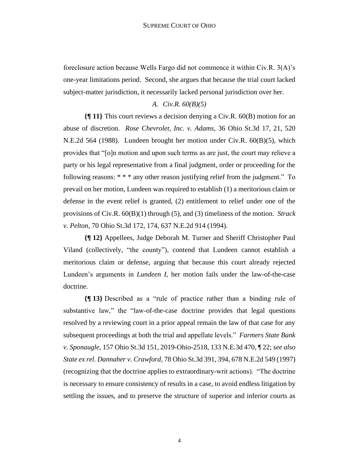foreclosure action because Wells Fargo did not commence it within Civ.R. 3(A)'s one-year limitations period. Second, she argues that because the trial court lacked subject-matter jurisdiction, it necessarily lacked personal jurisdiction over her.

# *A. Civ.R. 60(B)(5)*

**{¶ 11}** This court reviews a decision denying a Civ.R. 60(B) motion for an abuse of discretion. *Rose Chevrolet, Inc. v. Adams*, 36 Ohio St.3d 17, 21, 520 N.E.2d 564 (1988). Lundeen brought her motion under Civ.R. 60(B)(5), which provides that "[o]n motion and upon such terms as are just, the court may relieve a party or his legal representative from a final judgment, order or proceeding for the following reasons: \* \* \* any other reason justifying relief from the judgment." To prevail on her motion, Lundeen was required to establish (1) a meritorious claim or defense in the event relief is granted, (2) entitlement to relief under one of the provisions of Civ.R. 60(B)(1) through (5), and (3) timeliness of the motion. *Strack v. Pelton*, 70 Ohio St.3d 172, 174, 637 N.E.2d 914 (1994).

**{¶ 12}** Appellees, Judge Deborah M. Turner and Sheriff Christopher Paul Viland (collectively, "the county"), contend that Lundeen cannot establish a meritorious claim or defense, arguing that because this court already rejected Lundeen's arguments in *Lundeen I*, her motion fails under the law-of-the-case doctrine.

**{¶ 13}** Described as a "rule of practice rather than a binding rule of substantive law," the "law-of-the-case doctrine provides that legal questions resolved by a reviewing court in a prior appeal remain the law of that case for any subsequent proceedings at both the trial and appellate levels." *Farmers State Bank v. Sponaugle*, 157 Ohio St.3d 151, 2019-Ohio-2518, 133 N.E.3d 470, ¶ 22; *see also State ex rel. Dannaher v. Crawford*, 78 Ohio St.3d 391, 394, 678 N.E.2d 549 (1997) (recognizing that the doctrine applies to extraordinary-writ actions). "The doctrine is necessary to ensure consistency of results in a case, to avoid endless litigation by settling the issues, and to preserve the structure of superior and inferior courts as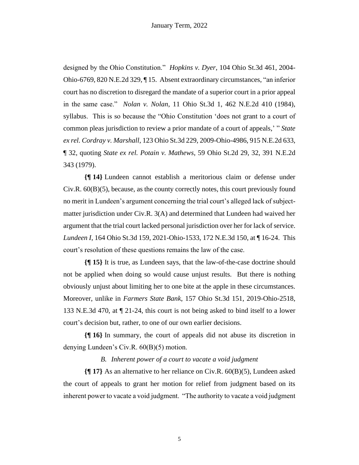designed by the Ohio Constitution." *Hopkins v. Dyer*, 104 Ohio St.3d 461, 2004- Ohio-6769, 820 N.E.2d 329, ¶ 15. Absent extraordinary circumstances, "an inferior court has no discretion to disregard the mandate of a superior court in a prior appeal in the same case." *Nolan v. Nolan*, 11 Ohio St.3d 1, 462 N.E.2d 410 (1984), syllabus. This is so because the "Ohio Constitution 'does not grant to a court of common pleas jurisdiction to review a prior mandate of a court of appeals,' " *State ex rel. Cordray v. Marshall*, 123 Ohio St.3d 229, 2009-Ohio-4986, 915 N.E.2d 633, ¶ 32, quoting *State ex rel. Potain v. Mathews*, 59 Ohio St.2d 29, 32, 391 N.E.2d 343 (1979).

**{¶ 14}** Lundeen cannot establish a meritorious claim or defense under  $Civ.R. 60(B)(5)$ , because, as the county correctly notes, this court previously found no merit in Lundeen's argument concerning the trial court's alleged lack of subjectmatter jurisdiction under Civ.R. 3(A) and determined that Lundeen had waived her argument that the trial court lacked personal jurisdiction over her for lack of service. *Lundeen I*, 164 Ohio St.3d 159, 2021-Ohio-1533, 172 N.E.3d 150, at ¶ 16-24. This court's resolution of these questions remains the law of the case.

**{¶ 15}** It is true, as Lundeen says, that the law-of-the-case doctrine should not be applied when doing so would cause unjust results. But there is nothing obviously unjust about limiting her to one bite at the apple in these circumstances. Moreover, unlike in *Farmers State Bank*, 157 Ohio St.3d 151, 2019-Ohio-2518, 133 N.E.3d 470, at ¶ 21-24, this court is not being asked to bind itself to a lower court's decision but, rather, to one of our own earlier decisions.

**{¶ 16}** In summary, the court of appeals did not abuse its discretion in denying Lundeen's Civ.R. 60(B)(5) motion.

## *B. Inherent power of a court to vacate a void judgment*

**{¶ 17}** As an alternative to her reliance on Civ.R. 60(B)(5), Lundeen asked the court of appeals to grant her motion for relief from judgment based on its inherent power to vacate a void judgment. "The authority to vacate a void judgment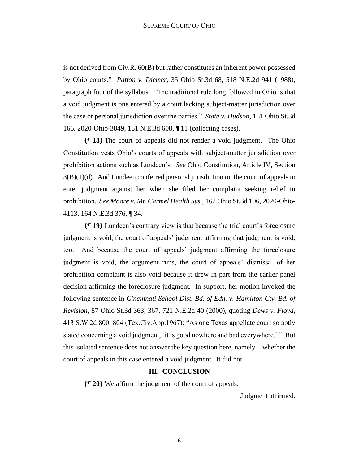is not derived from Civ.R. 60(B) but rather constitutes an inherent power possessed by Ohio courts." *Patton v. Diemer*, 35 Ohio St.3d 68, 518 N.E.2d 941 (1988), paragraph four of the syllabus. "The traditional rule long followed in Ohio is that a void judgment is one entered by a court lacking subject-matter jurisdiction over the case or personal jurisdiction over the parties." *State v. Hudson*, 161 Ohio St.3d 166, 2020-Ohio-3849, 161 N.E.3d 608, ¶ 11 (collecting cases).

**{¶ 18}** The court of appeals did not render a void judgment. The Ohio Constitution vests Ohio's courts of appeals with subject-matter jurisdiction over prohibition actions such as Lundeen's. *See* Ohio Constitution, Article IV, Section  $3(B)(1)(d)$ . And Lundeen conferred personal jurisdiction on the court of appeals to enter judgment against her when she filed her complaint seeking relief in prohibition. *See Moore v. Mt. Carmel Health Sys.*, 162 Ohio St.3d 106, 2020-Ohio-4113, 164 N.E.3d 376, ¶ 34.

**{¶ 19}** Lundeen's contrary view is that because the trial court's foreclosure judgment is void, the court of appeals' judgment affirming that judgment is void, too. And because the court of appeals' judgment affirming the foreclosure judgment is void, the argument runs, the court of appeals' dismissal of her prohibition complaint is also void because it drew in part from the earlier panel decision affirming the foreclosure judgment. In support, her motion invoked the following sentence in *Cincinnati School Dist. Bd. of Edn. v. Hamilton Cty. Bd. of Revision*, 87 Ohio St.3d 363, 367, 721 N.E.2d 40 (2000), quoting *Dews v. Floyd*, 413 S.W.2d 800, 804 (Tex.Civ.App.1967): "As one Texas appellate court so aptly stated concerning a void judgment, 'it is good nowhere and bad everywhere.' " But this isolated sentence does not answer the key question here, namely—whether the court of appeals in this case entered a void judgment. It did not.

# **III. CONCLUSION**

**{¶ 20}** We affirm the judgment of the court of appeals.

Judgment affirmed.